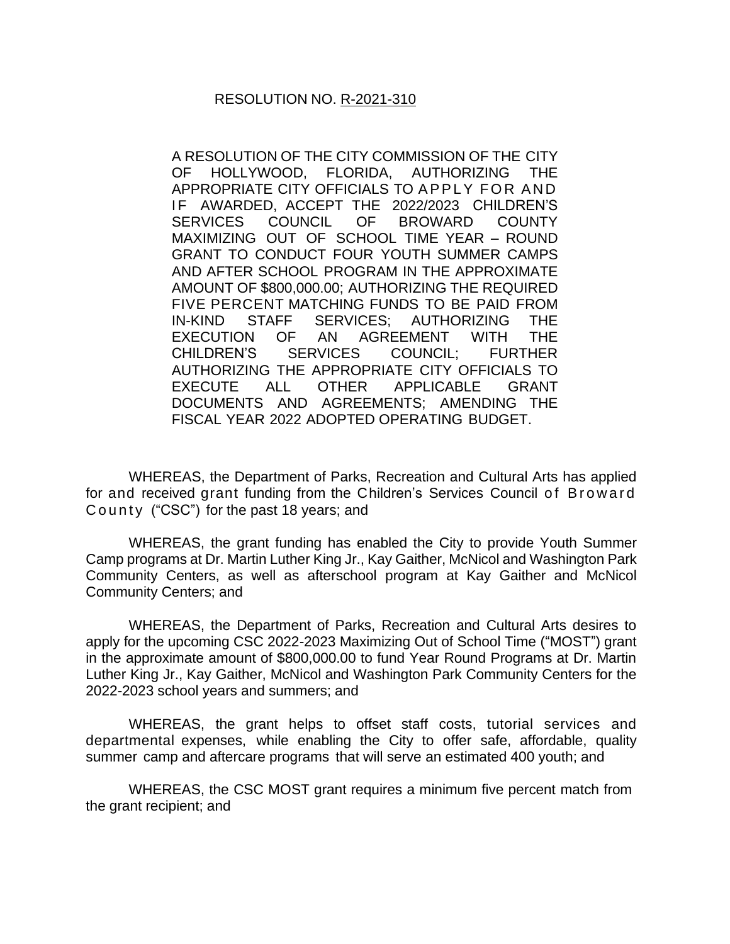## RESOLUTION NO. R-2021-310

A RESOLUTION OF THE CITY COMMISSION OF THE CITY OF HOLLYWOOD, FLORIDA, AUTHORIZING THE APPROPRIATE CITY OFFICIALS TO APPLY FOR AND IF AWARDED, ACCEPT THE 2022/2023 CHILDREN'S SERVICES COUNCIL OF BROWARD COUNTY MAXIMIZING OUT OF SCHOOL TIME YEAR – ROUND GRANT TO CONDUCT FOUR YOUTH SUMMER CAMPS AND AFTER SCHOOL PROGRAM IN THE APPROXIMATE AMOUNT OF \$800,000.00; AUTHORIZING THE REQUIRED FIVE PERCENT MATCHING FUNDS TO BE PAID FROM IN-KIND STAFF SERVICES; AUTHORIZING THE EXECUTION OF AN AGREEMENT WITH THE CHILDREN'S SERVICES COUNCIL; FURTHER AUTHORIZING THE APPROPRIATE CITY OFFICIALS TO EXECUTE ALL OTHER APPLICABLE GRANT DOCUMENTS AND AGREEMENTS; AMENDING THE FISCAL YEAR 2022 ADOPTED OPERATING BUDGET.

WHEREAS, the Department of Parks, Recreation and Cultural Arts has applied for and received grant funding from the Children's Services Council of Broward County ("CSC") for the past 18 years; and

WHEREAS, the grant funding has enabled the City to provide Youth Summer Camp programs at Dr. Martin Luther King Jr., Kay Gaither, McNicol and Washington Park Community Centers, as well as afterschool program at Kay Gaither and McNicol Community Centers; and

WHEREAS, the Department of Parks, Recreation and Cultural Arts desires to apply for the upcoming CSC 2022-2023 Maximizing Out of School Time ("MOST") grant in the approximate amount of \$800,000.00 to fund Year Round Programs at Dr. Martin Luther King Jr., Kay Gaither, McNicol and Washington Park Community Centers for the 2022-2023 school years and summers; and

WHEREAS, the grant helps to offset staff costs, tutorial services and departmental expenses, while enabling the City to offer safe, affordable, quality summer camp and aftercare programs that will serve an estimated 400 youth; and

WHEREAS, the CSC MOST grant requires a minimum five percent match from the grant recipient; and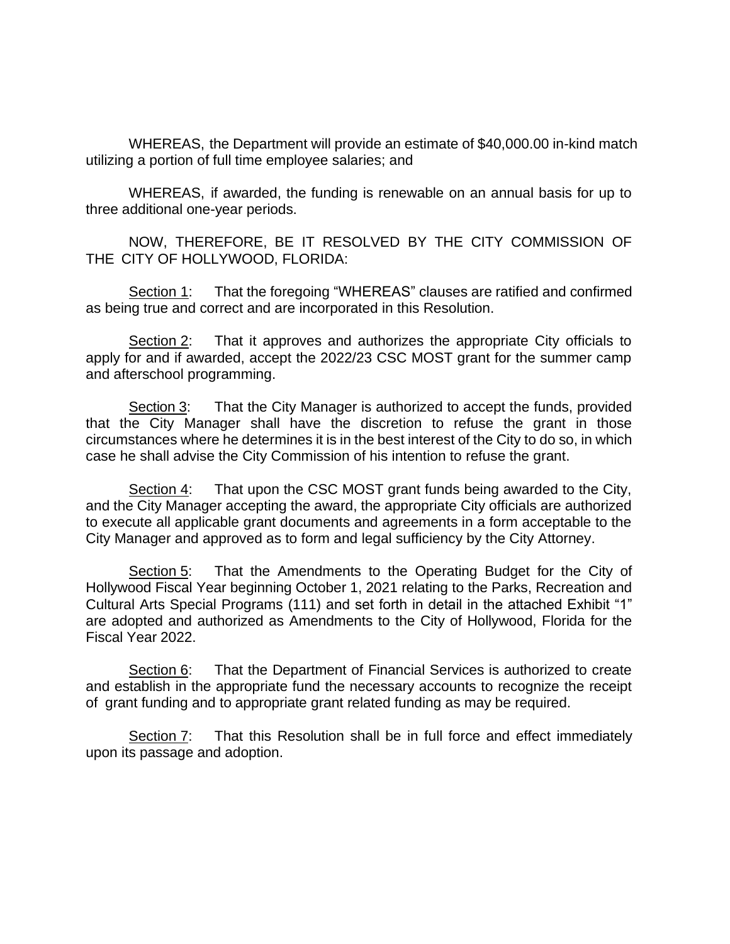WHEREAS, the Department will provide an estimate of \$40,000.00 in-kind match utilizing a portion of full time employee salaries; and

WHEREAS, if awarded, the funding is renewable on an annual basis for up to three additional one-year periods.

NOW, THEREFORE, BE IT RESOLVED BY THE CITY COMMISSION OF THE CITY OF HOLLYWOOD, FLORIDA:

Section 1: That the foregoing "WHEREAS" clauses are ratified and confirmed as being true and correct and are incorporated in this Resolution.

Section 2: That it approves and authorizes the appropriate City officials to apply for and if awarded, accept the 2022/23 CSC MOST grant for the summer camp and afterschool programming.

Section 3: That the City Manager is authorized to accept the funds, provided that the City Manager shall have the discretion to refuse the grant in those circumstances where he determines it is in the best interest of the City to do so, in which case he shall advise the City Commission of his intention to refuse the grant.

Section 4: That upon the CSC MOST grant funds being awarded to the City, and the City Manager accepting the award, the appropriate City officials are authorized to execute all applicable grant documents and agreements in a form acceptable to the City Manager and approved as to form and legal sufficiency by the City Attorney.

Section 5: That the Amendments to the Operating Budget for the City of Hollywood Fiscal Year beginning October 1, 2021 relating to the Parks, Recreation and Cultural Arts Special Programs (111) and set forth in detail in the attached Exhibit "1" are adopted and authorized as Amendments to the City of Hollywood, Florida for the Fiscal Year 2022.

Section 6: That the Department of Financial Services is authorized to create and establish in the appropriate fund the necessary accounts to recognize the receipt of grant funding and to appropriate grant related funding as may be required.

Section 7: That this Resolution shall be in full force and effect immediately upon its passage and adoption.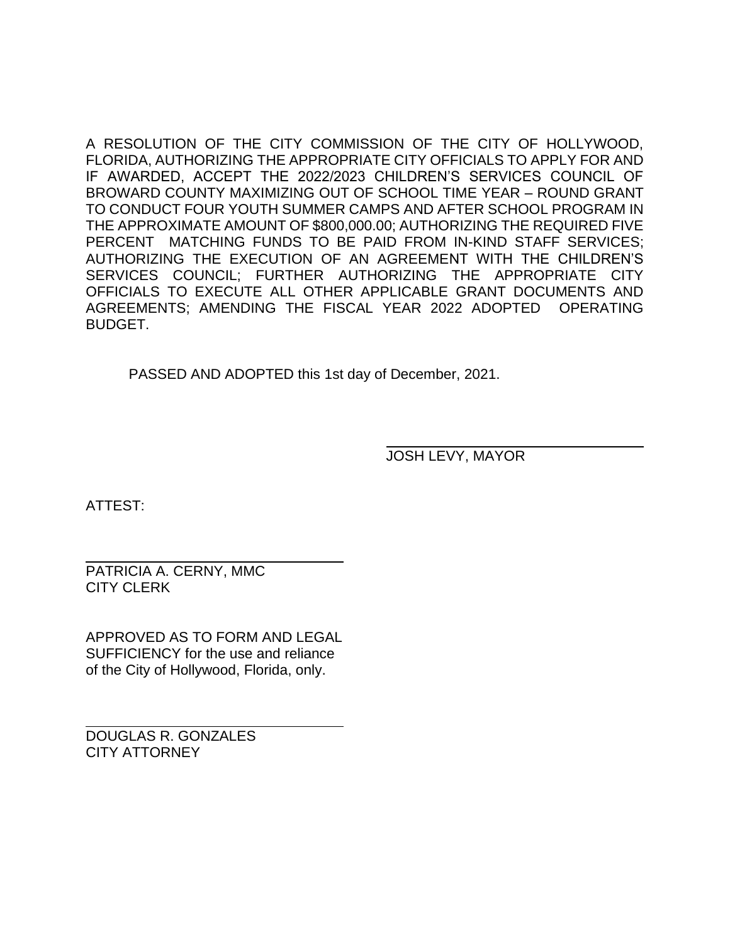A RESOLUTION OF THE CITY COMMISSION OF THE CITY OF HOLLYWOOD, FLORIDA, AUTHORIZING THE APPROPRIATE CITY OFFICIALS TO APPLY FOR AND IF AWARDED, ACCEPT THE 2022/2023 CHILDREN'S SERVICES COUNCIL OF BROWARD COUNTY MAXIMIZING OUT OF SCHOOL TIME YEAR – ROUND GRANT TO CONDUCT FOUR YOUTH SUMMER CAMPS AND AFTER SCHOOL PROGRAM IN THE APPROXIMATE AMOUNT OF \$800,000.00; AUTHORIZING THE REQUIRED FIVE PERCENT MATCHING FUNDS TO BE PAID FROM IN-KIND STAFF SERVICES; AUTHORIZING THE EXECUTION OF AN AGREEMENT WITH THE CHILDREN'S SERVICES COUNCIL; FURTHER AUTHORIZING THE APPROPRIATE CITY OFFICIALS TO EXECUTE ALL OTHER APPLICABLE GRANT DOCUMENTS AND AGREEMENTS; AMENDING THE FISCAL YEAR 2022 ADOPTED OPERATING BUDGET.

PASSED AND ADOPTED this 1st day of December, 2021.

JOSH LEVY, MAYOR

ATTEST:

PATRICIA A. CERNY, MMC CITY CLERK

APPROVED AS TO FORM AND LEGAL SUFFICIENCY for the use and reliance of the City of Hollywood, Florida, only.

DOUGLAS R. GONZALES CITY ATTORNEY